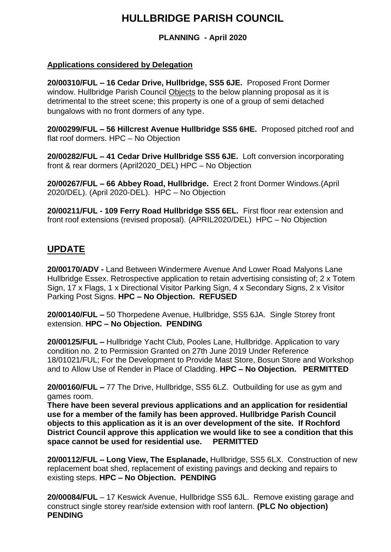# **HULLBRIDGE PARISH COUNCIL**

**PLANNING - April 2020**

## **Applications considered by Delegation**

**20/00310/FUL – 16 Cedar Drive, Hullbridge, SS5 6JE.** Proposed Front Dormer window. Hullbridge Parish Council Objects to the below planning proposal as it is detrimental to the street scene; this property is one of a group of semi detached bungalows with no front dormers of any type.

**20/00299/FUL – 56 Hillcrest Avenue Hullbridge SS5 6HE.** Proposed pitched roof and flat roof dormers. HPC – No Objection

**20/00282/FUL – 41 Cedar Drive Hullbridge SS5 6JE.** Loft conversion incorporating front & rear dormers (April2020\_DEL) HPC – No Objection

**20/00267/FUL – 66 Abbey Road, Hullbridge.** Erect 2 front Dormer Windows.(April 2020/DEL). (April 2020-DEL). HPC – No Objection

**20/00211/FUL - 109 Ferry Road Hullbridge SS5 6EL.** First floor rear extension and front roof extensions (revised proposal). (APRIL2020/DEL) HPC – No Objection

## **UPDATE**

**20/00170/ADV -** Land Between Windermere Avenue And Lower Road Malyons Lane Hullbridge Essex. Retrospective application to retain advertising consisting of; 2 x Totem Sign, 17 x Flags, 1 x Directional Visitor Parking Sign, 4 x Secondary Signs, 2 x Visitor Parking Post Signs. **HPC – No Objection. REFUSED**

**20/00140/FUL –** 50 Thorpedene Avenue, Hullbridge, SS5 6JA. Single Storey front extension. **HPC – No Objection. PENDING**

**20/00125/FUL –** Hullbridge Yacht Club, Pooles Lane, Hullbridge. Application to vary condition no. 2 to Permission Granted on 27th June 2019 Under Reference 18/01021/FUL; For the Development to Provide Mast Store, Bosun Store and Workshop and to Allow Use of Render in Place of Cladding. **HPC – No Objection. PERMITTED**

**20/00160/FUL –** 77 The Drive, Hullbridge, SS5 6LZ. Outbuilding for use as gym and games room.

**There have been several previous applications and an application for residential use for a member of the family has been approved. Hullbridge Parish Council objects to this application as it is an over development of the site. If Rochford District Council approve this application we would like to see a condition that this space cannot be used for residential use. PERMITTED**

**20/00112/FUL – Long View, The Esplanade,** Hullbridge, SS5 6LX. Construction of new replacement boat shed, replacement of existing pavings and decking and repairs to existing steps. **HPC – No Objection. PENDING**

**20/00084/FUL** – 17 Keswick Avenue, Hullbridge SS5 6JL. Remove existing garage and construct single storey rear/side extension with roof lantern. **(PLC No objection) PENDING**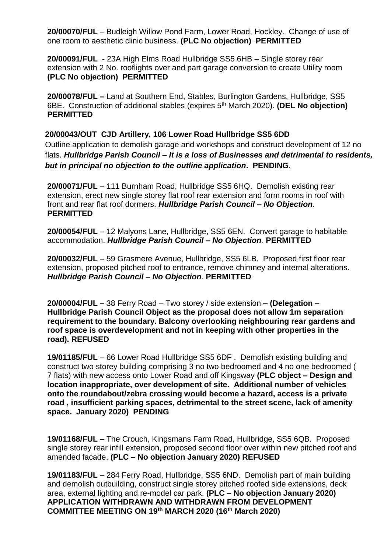**20/00070/FUL** – Budleigh Willow Pond Farm, Lower Road, Hockley. Change of use of one room to aesthetic clinic business. **(PLC No objection) PERMITTED**

**20/00091/FUL -** 23A High Elms Road Hullbridge SS5 6HB – Single storey rear extension with 2 No. rooflights over and part garage conversion to create Utility room **(PLC No objection) PERMITTED**

**20/00078/FUL –** Land at Southern End, Stables, Burlington Gardens, Hullbridge, SS5 6BE. Construction of additional stables (expires 5th March 2020). **(DEL No objection) PERMITTED**

#### **20/00043/OUT CJD Artillery, 106 Lower Road Hullbridge SS5 6DD**

Outline application to demolish garage and workshops and construct development of 12 no flats. *Hullbridge Parish Council – It is a loss of Businesses and detrimental to residents, but in principal no objection to the outline application***. PENDING**.

**20/00071/FUL** – 111 Burnham Road, Hullbridge SS5 6HQ. Demolish existing rear extension, erect new single storey flat roof rear extension and form rooms in roof with front and rear flat roof dormers. *Hullbridge Parish Council – No Objection.*  **PERMITTED**

**20/00054/FUL** – 12 Malyons Lane, Hullbridge, SS5 6EN. Convert garage to habitable accommodation. *Hullbridge Parish Council – No Objection.* **PERMITTED**

**20/00032/FUL** – 59 Grasmere Avenue, Hullbridge, SS5 6LB. Proposed first floor rear extension, proposed pitched roof to entrance, remove chimney and internal alterations. *Hullbridge Parish Council – No Objection.* **PERMITTED**

**20/00004/FUL –** 38 Ferry Road – Two storey / side extension **– (Delegation – Hullbridge Parish Council Object as the proposal does not allow 1m separation requirement to the boundary. Balcony overlooking neighbouring rear gardens and roof space is overdevelopment and not in keeping with other properties in the road). REFUSED**

**19/01185/FUL** – 66 Lower Road Hullbridge SS5 6DF . Demolish existing building and construct two storey building comprising 3 no two bedroomed and 4 no one bedroomed ( 7 flats) with new access onto Lower Road and off Kingsway **(PLC object – Design and location inappropriate, over development of site. Additional number of vehicles onto the roundabout/zebra crossing would become a hazard, access is a private road , insufficient parking spaces, detrimental to the street scene, lack of amenity space. January 2020) PENDING**

**19/01168/FUL** – The Crouch, Kingsmans Farm Road, Hullbridge, SS5 6QB. Proposed single storey rear infill extension, proposed second floor over within new pitched roof and amended facade. **(PLC – No objection January 2020) REFUSED**

**19/01183/FUL** – 284 Ferry Road, Hullbridge, SS5 6ND. Demolish part of main building and demolish outbuilding, construct single storey pitched roofed side extensions, deck area, external lighting and re-model car park. **(PLC – No objection January 2020) APPLICATION WITHDRAWN AND WITHDRAWN FROM DEVELOPMENT COMMITTEE MEETING ON 19th MARCH 2020 (16th March 2020)**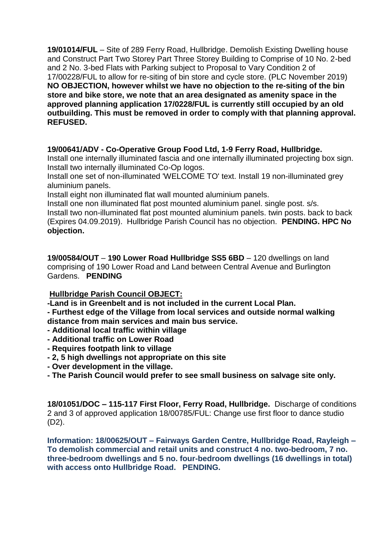**19/01014/FUL** – Site of 289 Ferry Road, Hullbridge. Demolish Existing Dwelling house and Construct Part Two Storey Part Three Storey Building to Comprise of 10 No. 2-bed and 2 No. 3-bed Flats with Parking subject to Proposal to Vary Condition 2 of 17/00228/FUL to allow for re-siting of bin store and cycle store. (PLC November 2019) **NO OBJECTION, however whilst we have no objection to the re-siting of the bin store and bike store, we note that an area designated as amenity space in the approved planning application 17/0228/FUL is currently still occupied by an old outbuilding. This must be removed in order to comply with that planning approval. REFUSED.**

## **19/00641/ADV - Co-Operative Group Food Ltd, 1-9 Ferry Road, Hullbridge.**

Install one internally illuminated fascia and one internally illuminated projecting box sign. Install two internally illuminated Co-Op logos.

Install one set of non-illuminated 'WELCOME TO' text. Install 19 non-illuminated grey aluminium panels.

Install eight non illuminated flat wall mounted aluminium panels.

Install one non illuminated flat post mounted aluminium panel. single post. s/s.

Install two non-illuminated flat post mounted aluminium panels. twin posts. back to back (Expires 04.09.2019). Hullbridge Parish Council has no objection. **PENDING. HPC No objection.**

**19/00584/OUT** – **190 Lower Road Hullbridge SS5 6BD** – 120 dwellings on land comprising of 190 Lower Road and Land between Central Avenue and Burlington Gardens. **PENDING**

## **Hullbridge Parish Council OBJECT:**

**-Land is in Greenbelt and is not included in the current Local Plan.**

- **- Furthest edge of the Village from local services and outside normal walking**
- **distance from main services and main bus service.**
- **- Additional local traffic within village**
- **- Additional traffic on Lower Road**
- **- Requires footpath link to village**
- **- 2, 5 high dwellings not appropriate on this site**
- **- Over development in the village.**
- **- The Parish Council would prefer to see small business on salvage site only.**

**18/01051/DOC – 115-117 First Floor, Ferry Road, Hullbridge.** Discharge of conditions 2 and 3 of approved application 18/00785/FUL: Change use first floor to dance studio (D2).

**Information: 18/00625/OUT – Fairways Garden Centre, Hullbridge Road, Rayleigh – To demolish commercial and retail units and construct 4 no. two-bedroom, 7 no. three-bedroom dwellings and 5 no. four-bedroom dwellings (16 dwellings in total) with access onto Hullbridge Road. PENDING.**